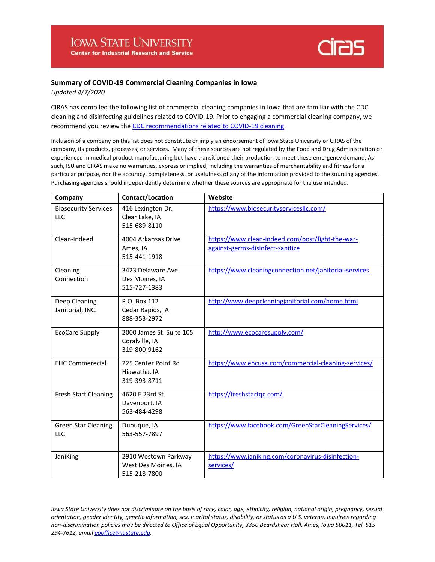

## **Summary of COVID-19 Commercial Cleaning Companies in Iowa**

*Updated 4/7/2020*

CIRAS has compiled the following list of commercial cleaning companies in Iowa that are familiar with the CDC cleaning and disinfecting guidelines related to COVID-19. Prior to engaging a commercial cleaning company, we recommend you review th[e CDC recommendations related to COVID-19 cleaning.](https://www.cdc.gov/coronavirus/2019-ncov/community/organizations/cleaning-disinfection.html)

Inclusion of a company on this list does not constitute or imply an endorsement of Iowa State University or CIRAS of the company, its products, processes, or services. Many of these sources are not regulated by the Food and Drug Administration or experienced in medical product manufacturing but have transitioned their production to meet these emergency demand. As such, ISU and CIRAS make no warranties, express or implied, including the warranties of merchantability and fitness for a particular purpose, nor the accuracy, completeness, or usefulness of any of the information provided to the sourcing agencies. Purchasing agencies should independently determine whether these sources are appropriate for the use intended.

| Company                                   | <b>Contact/Location</b>                                     | Website                                                                              |
|-------------------------------------------|-------------------------------------------------------------|--------------------------------------------------------------------------------------|
| <b>Biosecurity Services</b><br><b>LLC</b> | 416 Lexington Dr.<br>Clear Lake, IA<br>515-689-8110         | https://www.biosecurityservicesllc.com/                                              |
| Clean-Indeed                              | 4004 Arkansas Drive<br>Ames, IA<br>515-441-1918             | https://www.clean-indeed.com/post/fight-the-war-<br>against-germs-disinfect-sanitize |
| Cleaning<br>Connection                    | 3423 Delaware Ave<br>Des Moines, IA<br>515-727-1383         | https://www.cleaningconnection.net/janitorial-services                               |
| Deep Cleaning<br>Janitorial, INC.         | P.O. Box 112<br>Cedar Rapids, IA<br>888-353-2972            | http://www.deepcleaningjanitorial.com/home.html                                      |
| <b>EcoCare Supply</b>                     | 2000 James St. Suite 105<br>Coralville, IA<br>319-800-9162  | http://www.ecocaresupply.com/                                                        |
| <b>EHC Commerecial</b>                    | 225 Center Point Rd<br>Hiawatha, IA<br>319-393-8711         | https://www.ehcusa.com/commercial-cleaning-services/                                 |
| <b>Fresh Start Cleaning</b>               | 4620 E 23rd St.<br>Davenport, IA<br>563-484-4298            | https://freshstartgc.com/                                                            |
| <b>Green Star Cleaning</b><br>LLC         | Dubuque, IA<br>563-557-7897                                 | https://www.facebook.com/GreenStarCleaningServices/                                  |
| JaniKing                                  | 2910 Westown Parkway<br>West Des Moines, IA<br>515-218-7800 | https://www.janiking.com/coronavirus-disinfection-<br>services/                      |

*Iowa State University does not discriminate on the basis of race, color, age, ethnicity, religion, national origin, pregnancy, sexual orientation, gender identity, genetic information, sex, marital status, disability, or status as a U.S. veteran. Inquiries regarding non-discrimination policies may be directed to Office of Equal Opportunity, 3350 Beardshear Hall, Ames, Iowa 50011, Tel. 515 294-7612, emai[l eooffice@iastate.edu.](mailto:eooffice@iastate.edu)*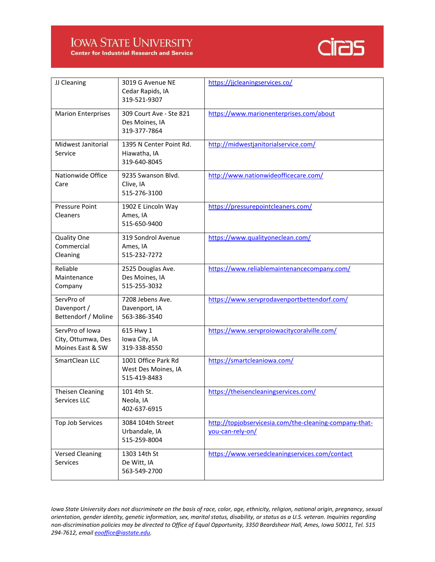## **IOWA STATE UNIVERSITY**



**Center for Industrial Research and Service** 

| JJ Cleaning                                               | 3019 G Avenue NE<br>Cedar Rapids, IA<br>319-521-9307       | https://jicleaningservices.co/                                             |
|-----------------------------------------------------------|------------------------------------------------------------|----------------------------------------------------------------------------|
| <b>Marion Enterprises</b>                                 | 309 Court Ave - Ste 821<br>Des Moines, IA<br>319-377-7864  | https://www.marionenterprises.com/about                                    |
| Midwest Janitorial<br>Service                             | 1395 N Center Point Rd.<br>Hiawatha, IA<br>319-640-8045    | http://midwestjanitorialservice.com/                                       |
| Nationwide Office<br>Care                                 | 9235 Swanson Blvd.<br>Clive, IA<br>515-276-3100            | http://www.nationwideofficecare.com/                                       |
| <b>Pressure Point</b><br><b>Cleaners</b>                  | 1902 E Lincoln Way<br>Ames, IA<br>515-650-9400             | https://pressurepointcleaners.com/                                         |
| Quality One<br>Commercial<br>Cleaning                     | 319 Sondrol Avenue<br>Ames, IA<br>515-232-7272             | https://www.qualityoneclean.com/                                           |
| Reliable<br>Maintenance<br>Company                        | 2525 Douglas Ave.<br>Des Moines, IA<br>515-255-3032        | https://www.reliablemaintenancecompany.com/                                |
| ServPro of<br>Davenport /<br>Bettendorf / Moline          | 7208 Jebens Ave.<br>Davenport, IA<br>563-386-3540          | https://www.servprodavenportbettendorf.com/                                |
| ServPro of Iowa<br>City, Ottumwa, Des<br>Moines East & SW | 615 Hwy 1<br>Iowa City, IA<br>319-338-8550                 | https://www.servproiowacitycoralville.com/                                 |
| SmartClean LLC                                            | 1001 Office Park Rd<br>West Des Moines, IA<br>515-419-8483 | https://smartcleaniowa.com/                                                |
| <b>Theisen Cleaning</b><br>Services LLC                   | 101 4th St.<br>Neola, IA<br>402-637-6915                   | https://theisencleaningservices.com/                                       |
| <b>Top Job Services</b>                                   | 3084 104th Street<br>Urbandale, IA<br>515-259-8004         | http://topjobservicesia.com/the-cleaning-company-that-<br>you-can-rely-on/ |
| <b>Versed Cleaning</b><br><b>Services</b>                 | 1303 14th St<br>De Witt, IA<br>563-549-2700                | https://www.versedcleaningservices.com/contact                             |

*Iowa State University does not discriminate on the basis of race, color, age, ethnicity, religion, national origin, pregnancy, sexual orientation, gender identity, genetic information, sex, marital status, disability, or status as a U.S. veteran. Inquiries regarding non-discrimination policies may be directed to Office of Equal Opportunity, 3350 Beardshear Hall, Ames, Iowa 50011, Tel. 515 294-7612, emai[l eooffice@iastate.edu.](mailto:eooffice@iastate.edu)*